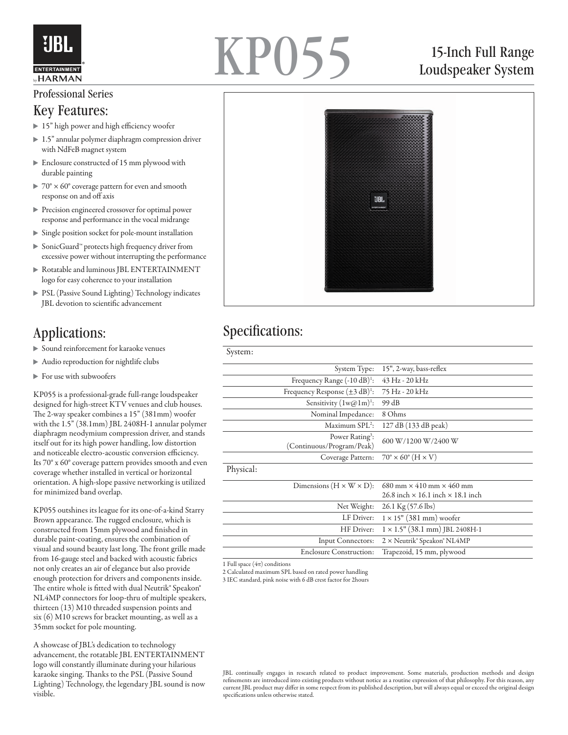

# KP055

## 15-Inch Full Range Loudspeaker System

#### Professional Series

#### Key Features:

- ▶ 15" high power and high efficiency woofer
- ▶ 1.5" annular polymer diaphragm compression driver with NdFeB magnet system
- Enclosure constructed of 15 mm plywood with durable painting
- $\triangleright$  70°  $\times$  60° coverage pattern for even and smooth response on and off axis
- Precision engineered crossover for optimal power response and performance in the vocal midrange
- Single position socket for pole-mount installation
- SonicGuard™ protects high frequency driver from excessive power without interrupting the performance
- Rotatable and luminous JBL ENTERTAINMENT logo for easy coherence to your installation
- **PSL (Passive Sound Lighting) Technology indicates** JBL devotion to scientific advancement

#### Applications:

- Sound reinforcement for karaoke venues
- Audio reproduction for nightlife clubs
- $\blacktriangleright$  For use with subwoofers

KP055 is a professional-grade full-range loudspeaker designed for high-street KTV venues and club houses. The 2-way speaker combines a 15" (381mm) woofer with the 1.5" (38.1mm) JBL 2408H-1 annular polymer diaphragm neodymium compression driver, and stands itself out for its high power handling, low distortion and noticeable electro-acoustic conversion efficiency. Its 70° x 60° coverage pattern provides smooth and even coverage whether installed in vertical or horizontal orientation. A high-slope passive networking is utilized for minimized band overlap.

KP055 outshines its league for its one-of-a-kind Starry Brown appearance. The rugged enclosure, which is constructed from 15mm plywood and finished in durable paint-coating, ensures the combination of visual and sound beauty last long. The front grille made from 16-gauge steel and backed with acoustic fabrics not only creates an air of elegance but also provide enough protection for drivers and components inside. The entire whole is fitted with dual Neutrik® Speakon® NL4MP connectors for loop-thru of multiple speakers, thirteen (13) M10 threaded suspension points and six (6) M10 screws for bracket mounting, as well as a 35mm socket for pole mounting.

A showcase of JBL's dedication to technology advancement, the rotatable JBL ENTERTAINMENT logo will constantly illuminate during your hilarious karaoke singing. Thanks to the PSL (Passive Sound Lighting) Technology, the legendary JBL sound is now visible.



## Specifications:

|                                                                                        |                   | System Type: 15", 2-way, bass-reflex              |
|----------------------------------------------------------------------------------------|-------------------|---------------------------------------------------|
| Frequency Range $(-10 dB)^1$ :                                                         |                   | 43 Hz - 20 kHz                                    |
| Frequency Response $(\pm 3 \text{ dB})^1$ :                                            |                   | 75 Hz - 20 kHz                                    |
| Sensitivity $(1 \text{w@} 1 \text{m})^1$ :                                             |                   | 99 dB                                             |
| Nominal Impedance:                                                                     |                   | 8 Ohms                                            |
| Maximum SPL <sup>2</sup> :<br>Power Rating <sup>3</sup> :<br>(Continuous/Program/Peak) |                   | 127 dB (133 dB peak)                              |
|                                                                                        |                   | 600 W/1200 W/2400 W                               |
|                                                                                        | Coverage Pattern: | $70^\circ \times 60^\circ$ (H $\times$ V)         |
| Physical:                                                                              |                   |                                                   |
| Dimensions $(H \times W \times D)$ :                                                   |                   | $680$ mm $\times$ 410 mm $\times$ 460 mm          |
|                                                                                        |                   | $26.8$ inch $\times$ 16.1 inch $\times$ 18.1 inch |
| Net Weight:                                                                            |                   | $26.1 \text{ Kg} (57.6 \text{ lbs})$              |
| LF Driver:                                                                             |                   | $1 \times 15$ " (381 mm) woofer                   |
| HF Driver:                                                                             |                   | $1 \times 1.5$ " (38.1 mm) JBL 2408H-1            |
| Input Connectors:                                                                      |                   | 2 × Neutrik® Speakon® NL4MP                       |
| <b>Enclosure Construction:</b>                                                         |                   | Trapezoid, 15 mm, plywood                         |
|                                                                                        |                   |                                                   |

1 Full space  $(4\pi)$  conditions

2 Calculated maximum SPL based on rated power handling

3 IEC standard, pink noise with 6 dB crest factor for 2hours

JBL continually engages in research related to product improvement. Some materials, production methods and design refinements are introduced into existing products without notice as a routine expression of that philosophy. For this reason, any current JBL product may differ in some respect from its published description, but will always equal or exceed the original design specifications unless otherwise stated.